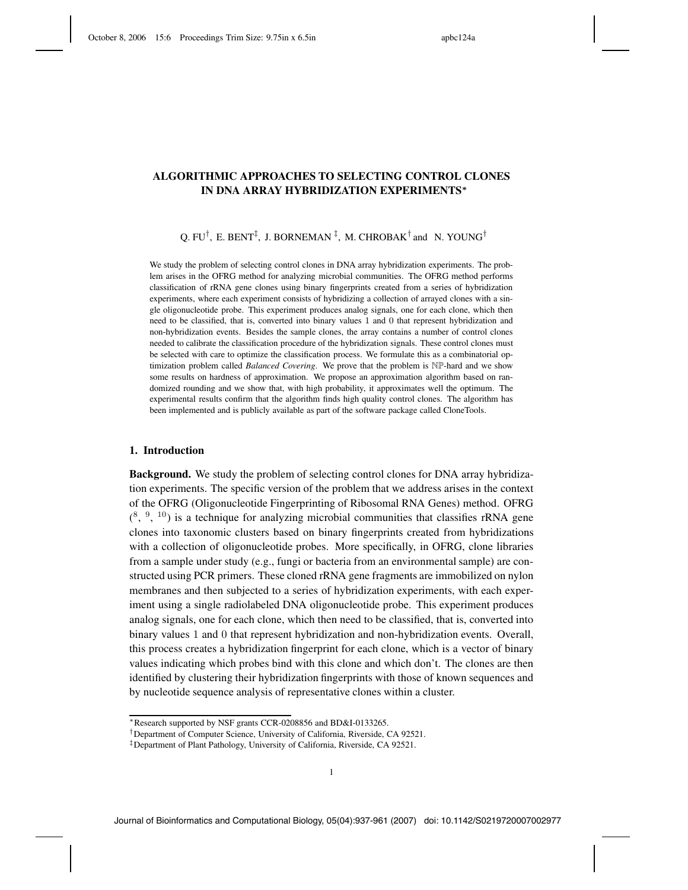# **ALGORITHMIC APPROACHES TO SELECTING CONTROL CLONES IN DNA ARRAY HYBRIDIZATION EXPERIMENTS**<sup>∗</sup>

Q. FU<sup>†</sup>, E. BENT<sup>‡</sup>, J. BORNEMAN <sup>‡</sup>, M. CHROBAK<sup>†</sup> and N. YOUNG<sup>†</sup>

We study the problem of selecting control clones in DNA array hybridization experiments. The problem arises in the OFRG method for analyzing microbial communities. The OFRG method performs classification of rRNA gene clones using binary fingerprints created from a series of hybridization experiments, where each experiment consists of hybridizing a collection of arrayed clones with a single oligonucleotide probe. This experiment produces analog signals, one for each clone, which then need to be classified, that is, converted into binary values 1 and 0 that represent hybridization and non-hybridization events. Besides the sample clones, the array contains a number of control clones needed to calibrate the classification procedure of the hybridization signals. These control clones must be selected with care to optimize the classification process. We formulate this as a combinatorial optimization problem called *Balanced Covering*. We prove that the problem is NP-hard and we show some results on hardness of approximation. We propose an approximation algorithm based on randomized rounding and we show that, with high probability, it approximates well the optimum. The experimental results confirm that the algorithm finds high quality control clones. The algorithm has been implemented and is publicly available as part of the software package called CloneTools.

#### **1. Introduction**

**Background.** We study the problem of selecting control clones for DNA array hybridization experiments. The specific version of the problem that we address arises in the context of the OFRG (Oligonucleotide Fingerprinting of Ribosomal RNA Genes) method. OFRG  $(8, 9, 10)$  is a technique for analyzing microbial communities that classifies rRNA gene clones into taxonomic clusters based on binary fingerprints created from hybridizations with a collection of oligonucleotide probes. More specifically, in OFRG, clone libraries from a sample under study (e.g., fungi or bacteria from an environmental sample) are constructed using PCR primers. These cloned rRNA gene fragments are immobilized on nylon membranes and then subjected to a series of hybridization experiments, with each experiment using a single radiolabeled DNA oligonucleotide probe. This experiment produces analog signals, one for each clone, which then need to be classified, that is, converted into binary values 1 and 0 that represent hybridization and non-hybridization events. Overall, this process creates a hybridization fingerprint for each clone, which is a vector of binary values indicating which probes bind with this clone and which don't. The clones are then identified by clustering their hybridization fingerprints with those of known sequences and by nucleotide sequence analysis of representative clones within a cluster.

<sup>∗</sup>Research supported by NSF grants CCR-0208856 and BD&I-0133265.

<sup>†</sup>Department of Computer Science, University of California, Riverside, CA 92521.

<sup>‡</sup>Department of Plant Pathology, University of California, Riverside, CA 92521.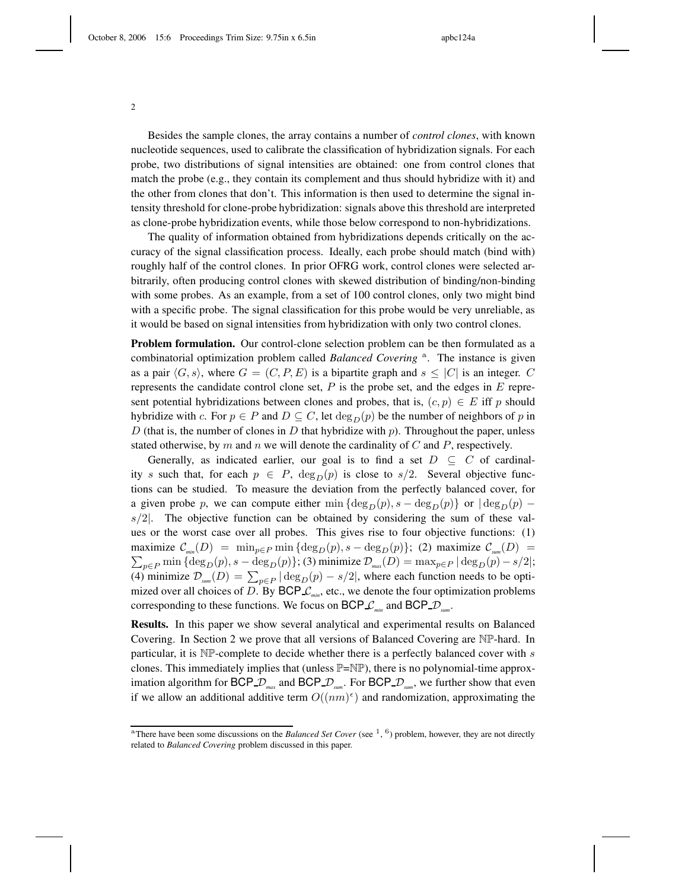Besides the sample clones, the array contains a number of *control clones*, with known nucleotide sequences, used to calibrate the classification of hybridization signals. For each probe, two distributions of signal intensities are obtained: one from control clones that match the probe (e.g., they contain its complement and thus should hybridize with it) and the other from clones that don't. This information is then used to determine the signal intensity threshold for clone-probe hybridization: signals above this threshold are interpreted as clone-probe hybridization events, while those below correspond to non-hybridizations.

The quality of information obtained from hybridizations depends critically on the accuracy of the signal classification process. Ideally, each probe should match (bind with) roughly half of the control clones. In prior OFRG work, control clones were selected arbitrarily, often producing control clones with skewed distribution of binding/non-binding with some probes. As an example, from a set of 100 control clones, only two might bind with a specific probe. The signal classification for this probe would be very unreliable, as it would be based on signal intensities from hybridization with only two control clones.

**Problem formulation.** Our control-clone selection problem can be then formulated as a combinatorial optimization problem called *Balanced Covering* <sup>a</sup>. The instance is given as a pair  $\langle G, s \rangle$ , where  $G = (C, P, E)$  is a bipartite graph and  $s \leq |C|$  is an integer. C represents the candidate control clone set,  $P$  is the probe set, and the edges in  $E$  represent potential hybridizations between clones and probes, that is,  $(c, p) \in E$  iff p should hybridize with c. For  $p \in P$  and  $D \subseteq C$ , let  $\deg_D(p)$  be the number of neighbors of p in D (that is, the number of clones in  $D$  that hybridize with  $p$ ). Throughout the paper, unless stated otherwise, by  $m$  and  $n$  we will denote the cardinality of  $C$  and  $P$ , respectively.

Generally, as indicated earlier, our goal is to find a set  $D \subseteq C$  of cardinality s such that, for each  $p \in P$ ,  $\deg_D(p)$  is close to  $s/2$ . Several objective functions can be studied. To measure the deviation from the perfectly balanced cover, for a given probe p, we can compute either min  $\{\deg_D(p), s - \deg_D(p)\}\$  or  $|\deg_D(p)|$  $s/2$ . The objective function can be obtained by considering the sum of these values or the worst case over all probes. This gives rise to four objective functions: (1) maximize  $C_{min}(D) = \min_{p \in P} \min \{ \deg_D(p), s - \deg_D(p) \};$  (2) maximize  $C_{sum}(D) = \sum_{p \in P} \min \{ \deg_D(p), s - \deg_D(p) \};$  (3) minimize  $\mathcal{D}_{max}(D) = \max_{p \in P} |\deg_D(p) - s/2|$ ; (4) minimize  $\mathcal{D}_{\text{sum}}(D) = \sum_{p \in P} |\text{deg}_D(p) - s/2|$ , where each function needs to be optimized over all choices of D. By  $BCP \mathcal{L}_{min}$ , etc., we denote the four optimization problems corresponding to these functions. We focus on BCP C*min* and BCP D*sum*.

**Results.** In this paper we show several analytical and experimental results on Balanced Covering. In Section 2 we prove that all versions of Balanced Covering are NP-hard. In particular, it is NP-complete to decide whether there is a perfectly balanced cover with s clones. This immediately implies that (unless  $\mathbb{P}=\mathbb{NP}$ ), there is no polynomial-time approximation algorithm for BCP<sub>-D<sub>*max*</sub></sub> and BCP<sub>-D<sub>*sum*</sub></sub>. For BCP<sub>-D<sub>sum</sub>, we further show that even</sub> if we allow an additional additive term  $O((nm)^{\epsilon})$  and randomization, approximating the

<sup>&</sup>lt;sup>a</sup>There have been some discussions on the *Balanced Set Cover* (see  $\frac{1}{2}$ ,  $\frac{6}{2}$ ) problem, however, they are not directly related to *Balanced Covering* problem discussed in this paper.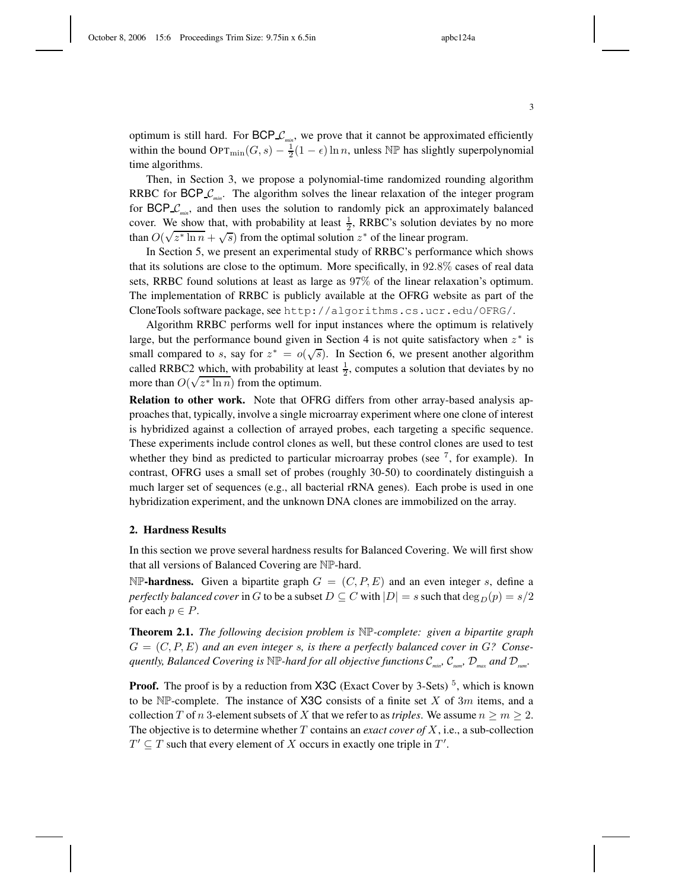optimum is still hard. For  $BCP\mathcal{L}_{min}$ , we prove that it cannot be approximated efficiently within the bound  $\text{OPT}_{\text{min}}(G, s) - \frac{1}{2}(1 - \epsilon) \ln n$ , unless  $\mathbb{NP}$  has slightly superpolynomial time algorithms.

Then, in Section 3, we propose a polynomial-time randomized rounding algorithm RRBC for  $BCP\mathcal{L}_{min}$ . The algorithm solves the linear relaxation of the integer program for  $BCP_{\mathcal{L}_{min}}$ , and then uses the solution to randomly pick an approximately balanced cover. We show that, with probability at least  $\frac{1}{2}$ , RRBC's solution deviates by no more than  $O(\sqrt{z^*\ln n} + \sqrt{s})$  from the optimal solution  $z^*$  of the linear program.

In Section 5, we present an experimental study of RRBC's performance which shows that its solutions are close to the optimum. More specifically, in 92.8% cases of real data sets, RRBC found solutions at least as large as 97% of the linear relaxation's optimum. The implementation of RRBC is publicly available at the OFRG website as part of the CloneTools software package, see http://algorithms.cs.ucr.edu/OFRG/.

Algorithm RRBC performs well for input instances where the optimum is relatively large, but the performance bound given in Section 4 is not quite satisfactory when  $z^*$  is small compared to s, say for  $z^* = o(\sqrt{s})$ . In Section 6, we present another algorithm called RRBC2 which, with probability at least  $\frac{1}{2}$ , computes a solution that deviates by no more than  $O(\sqrt{z^* \ln n})$  from the optimum.

**Relation to other work.** Note that OFRG differs from other array-based analysis approaches that, typically, involve a single microarray experiment where one clone of interest is hybridized against a collection of arrayed probes, each targeting a specific sequence. These experiments include control clones as well, but these control clones are used to test whether they bind as predicted to particular microarray probes (see  $<sup>7</sup>$ , for example). In</sup> contrast, OFRG uses a small set of probes (roughly 30-50) to coordinately distinguish a much larger set of sequences (e.g., all bacterial rRNA genes). Each probe is used in one hybridization experiment, and the unknown DNA clones are immobilized on the array.

### **2. Hardness Results**

In this section we prove several hardness results for Balanced Covering. We will first show that all versions of Balanced Covering are NP-hard.

 $N\mathbb{P}$ **-hardness.** Given a bipartite graph  $G = (C, P, E)$  and an even integer s, define a *perfectly balanced cover* in G to be a subset  $D \subseteq C$  with  $|D| = s$  such that  $\deg_D(p) = s/2$ for each  $p \in P$ .

**Theorem 2.1.** *The following decision problem is* NP*-complete: given a bipartite graph*  $G = (C, P, E)$  *and an even integer s, is there a perfectly balanced cover in G? Consequently, Balanced Covering is*  $N\mathbb{P}$ *-hard for all objective functions*  $\mathcal{C}_{\min}$ ,  $\mathcal{C}_{\text{sum}}$ ,  $\mathcal{D}_{\max}$  *and*  $\mathcal{D}_{\text{sum}}$ .

**Proof.** The proof is by a reduction from X3C (Exact Cover by 3-Sets) <sup>5</sup>, which is known to be  $N\mathbb{P}$ -complete. The instance of X3C consists of a finite set X of 3m items, and a collection T of n 3-element subsets of X that we refer to as *triples*. We assume  $n \ge m \ge 2$ . The objective is to determine whether T contains an *exact cover of* X, i.e., a sub-collection  $T' \subseteq T$  such that every element of X occurs in exactly one triple in  $T'$ .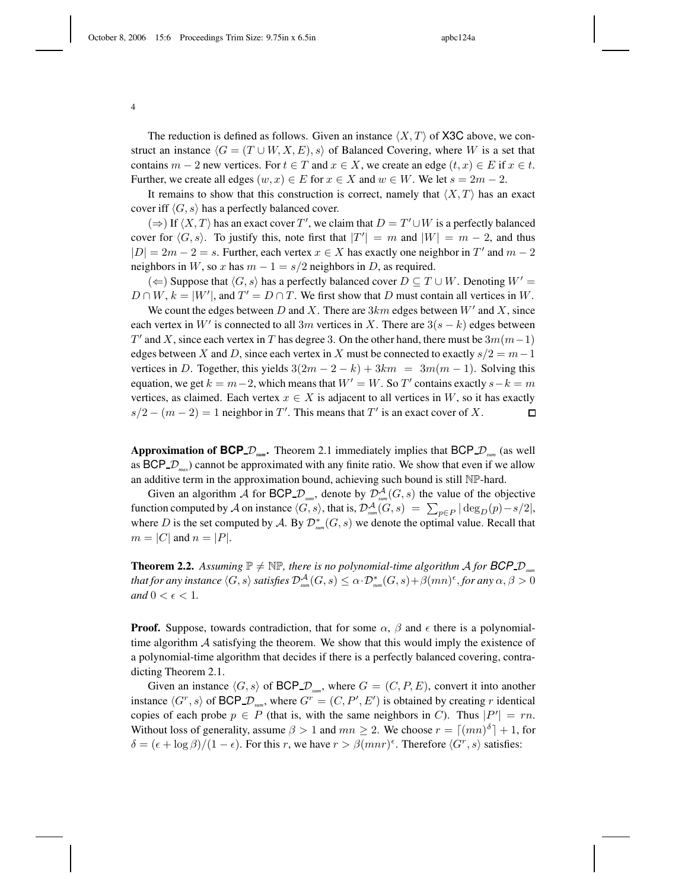The reduction is defined as follows. Given an instance  $\langle X, T \rangle$  of X3C above, we construct an instance  $\langle G = (T \cup W, X, E), s \rangle$  of Balanced Covering, where W is a set that contains  $m - 2$  new vertices. For  $t \in T$  and  $x \in X$ , we create an edge  $(t, x) \in E$  if  $x \in t$ . Further, we create all edges  $(w, x) \in E$  for  $x \in X$  and  $w \in W$ . We let  $s = 2m - 2$ .

It remains to show that this construction is correct, namely that  $\langle X, T \rangle$  has an exact cover iff  $\langle G, s \rangle$  has a perfectly balanced cover.

(⇒) If  $\langle X, T \rangle$  has an exact cover T', we claim that  $D = T' \cup W$  is a perfectly balanced cover for  $\langle G, s \rangle$ . To justify this, note first that  $|T'| = m$  and  $|W| = m - 2$ , and thus  $|D| = 2m - 2 = s$ . Further, each vertex  $x \in X$  has exactly one neighbor in T' and  $m - 2$ neighbors in W, so x has  $m - 1 = s/2$  neighbors in D, as required.

(←) Suppose that  $\langle G, s \rangle$  has a perfectly balanced cover  $D \subseteq T \cup W$ . Denoting  $W' =$  $D \cap W$ ,  $k = |W'|$ , and  $T' = D \cap T$ . We first show that D must contain all vertices in W.

We count the edges between D and X. There are  $3km$  edges between  $W'$  and X, since each vertex in W' is connected to all 3m vertices in X. There are  $3(s - k)$  edges between T' and X, since each vertex in T has degree 3. On the other hand, there must be  $3m(m-1)$ edges between X and D, since each vertex in X must be connected to exactly  $s/2 = m-1$ vertices in D. Together, this yields  $3(2m - 2 - k) + 3km = 3m(m - 1)$ . Solving this equation, we get  $k = m-2$ , which means that  $W' = W$ . So T' contains exactly  $s-k = m$ vertices, as claimed. Each vertex  $x \in X$  is adjacent to all vertices in W, so it has exactly  $s/2 - (m - 2) = 1$  neighbor in T'. This means that T' is an exact cover of X.  $\Box$ 

**Approximation of BCP**  $D_{sum}$ . Theorem 2.1 immediately implies that BCP  $D_{sum}$  (as well as  $BCP\_D_{\text{max}}$ ) cannot be approximated with any finite ratio. We show that even if we allow an additive term in the approximation bound, achieving such bound is still NP-hard.

Given an algorithm A for BCP  $\mathcal{D}_{sum}$ , denote by  $\mathcal{D}_{sum}^{\mathcal{A}}(G, s)$  the value of the objective function computed by A on instance  $\langle G, s \rangle$ , that is,  $\mathcal{D}^{\mathcal{A}}_{\text{sum}}(G, s) = \sum_{p \in P} |\deg_D(p) - s/2|$ , where D is the set computed by A. By  $\mathcal{D}^*_{\text{sum}}(G, s)$  we denote the optimal value. Recall that  $m = |C|$  and  $n = |P|$ .

**Theorem 2.2.** Assuming  $\mathbb{P} \neq \mathbb{NP}$ , there is no polynomial-time algorithm A for BCP<sub>-D</sub><sub>sum</sub> *that for any instance*  $\langle G, s \rangle$  *satisfies*  $\mathcal{D}^{\mathcal{A}}_{\textit{sum}}(G,s) \leq \alpha \cdot \mathcal{D}^*_{\textit{sum}}(G,s) + \beta (mn)^{\epsilon}$ , *for any*  $\alpha, \beta > 0$ *and*  $0 < \epsilon < 1$ *.* 

**Proof.** Suppose, towards contradiction, that for some  $\alpha$ ,  $\beta$  and  $\epsilon$  there is a polynomialtime algorithm  $A$  satisfying the theorem. We show that this would imply the existence of a polynomial-time algorithm that decides if there is a perfectly balanced covering, contradicting Theorem 2.1.

Given an instance  $\langle G, s \rangle$  of BCP<sub>-</sub> $\mathcal{D}_{\text{sum}}$ , where  $G = (C, P, E)$ , convert it into another instance  $\langle G^r, s \rangle$  of BCP<sub>-D<sub>sum</sub>, where  $G^r = (C, P', E')$  is obtained by creating r identical</sub> copies of each probe  $p \in P$  (that is, with the same neighbors in C). Thus  $|P'| = rn$ . Without loss of generality, assume  $\beta > 1$  and  $mn \geq 2$ . We choose  $r = \lceil (mn)^{\delta} \rceil + 1$ , for  $\delta = (\epsilon + \log \beta)/(1 - \epsilon)$ . For this r, we have  $r > \beta(mnr)^{\epsilon}$ . Therefore  $\langle G^r, s \rangle$  satisfies: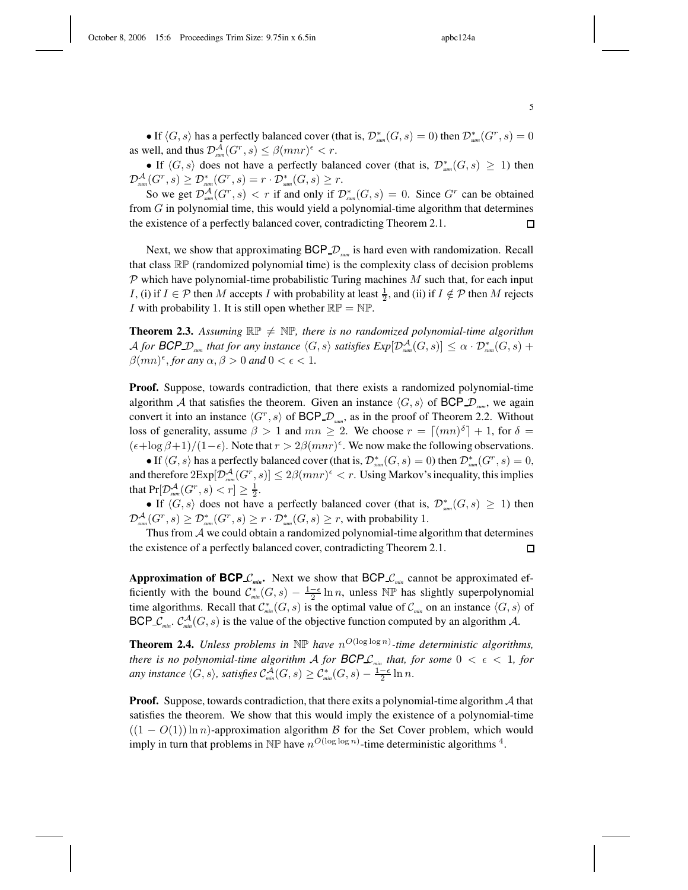• If  $\langle G, s \rangle$  has a perfectly balanced cover (that is,  $\mathcal{D}^*_{\text{sum}}(G, s) = 0$ ) then  $\mathcal{D}^*_{\text{sum}}(G^r, s) = 0$ as well, and thus  $\mathcal{D}^{\mathcal{A}}_{\text{sum}}(G^r, s) \leq \beta (mnr)^{\epsilon} < r$ .

• If  $\langle G, s \rangle$  does not have a perfectly balanced cover (that is,  $\mathcal{D}^*_{\text{sum}}(G, s) \geq 1$ ) then  $\mathcal{D}^{\mathcal{A}}_{\textit{\tiny{sum}}}(G^r,s) \geq \mathcal{D}^*_{\textit{\tiny{sum}}}(G^r,s) = r \cdot \mathcal{D}^*_{\textit{\tiny{sum}}}(G,s) \geq r.$ 

So we get  $\mathcal{D}^{\mathcal{A}}_{\text{sum}}(G^r, s) < r$  if and only if  $\mathcal{D}^*_{\text{sum}}(G, s) = 0$ . Since  $G^r$  can be obtained from  $G$  in polynomial time, this would yield a polynomial-time algorithm that determines the existence of a perfectly balanced cover, contradicting Theorem 2.1.  $\Box$ 

Next, we show that approximating BCP  $\mathcal{D}_{sym}$  is hard even with randomization. Recall that class  $\mathbb{RP}$  (randomized polynomial time) is the complexity class of decision problems  $P$  which have polynomial-time probabilistic Turing machines  $M$  such that, for each input I, (i) if  $I \in \mathcal{P}$  then M accepts I with probability at least  $\frac{1}{2}$ , and (ii) if  $I \notin \mathcal{P}$  then M rejects I with probability 1. It is still open whether  $\mathbb{RP} = \mathbb{NP}$ .

**Theorem 2.3.** Assuming  $\mathbb{RP} \neq \mathbb{NP}$ , there is no randomized polynomial-time algorithm A for  $\mathsf{BCP\_D}_{\mathsf{sum}}$  that for any instance  $\langle G, s \rangle$  satisfies  $\mathit{Exp}[\mathcal{D}_{\mathsf{sum}}^{\mathcal{A}}(G,s)] \leq \alpha \cdot \mathcal{D}_{\mathsf{sum}}^{*}(G,s) +$  $\beta(mn)^{\epsilon}$ , *for any*  $\alpha, \beta > 0$  *and*  $0 < \epsilon < 1$ *.* 

**Proof.** Suppose, towards contradiction, that there exists a randomized polynomial-time algorithm A that satisfies the theorem. Given an instance  $\langle G, s \rangle$  of BCP  $\mathcal{D}_{\text{sum}}$ , we again convert it into an instance  $\langle G^r, s \rangle$  of BCP  $\mathcal{D}_{\text{sum}}$ , as in the proof of Theorem 2.2. Without loss of generality, assume  $\beta > 1$  and  $mn \geq 2$ . We choose  $r = \lceil (mn)^{\delta} \rceil + 1$ , for  $\delta =$  $(\epsilon + \log \beta + 1)/(1 - \epsilon)$ . Note that  $r > 2\beta (mnr)^{\epsilon}$ . We now make the following observations.

• If  $\langle G, s \rangle$  has a perfectly balanced cover (that is,  $\mathcal{D}^*_{\text{sum}}(G, s) = 0$ ) then  $\mathcal{D}^*_{\text{sum}}(G^r, s) = 0$ , and therefore  $2\mathrm{Exp}[\mathcal{D}^\mathcal{A}_{\mathrm{sum}}(G^r,s)]\leq 2\beta(mnr)^\epsilon < r.$  Using Markov's inequality, this implies that  $Pr[\mathcal{D}^{\mathcal{A}}_{\text{sum}}(G^r, s) < r] \ge \frac{1}{2}$ .

• If  $\langle G, s \rangle$  does not have a perfectly balanced cover (that is,  $\mathcal{D}^*_{\text{sum}}(G, s) \geq 1$ ) then  $\mathcal{D}^{\mathcal{A}}_{\textit{\tiny{sum}}} (G^r, s) \geq \mathcal{D}^{\ast}_{\textit{\tiny{sum}}} (G^r, s) \geq r \cdot \mathcal{D}^{\ast}_{\textit{\tiny{sum}}} (G, s) \geq r, \text{ with probability } 1.$ 

Thus from  $A$  we could obtain a randomized polynomial-time algorithm that determines existence of a perfectly balanced cover, contradicting Theorem 2.1. the existence of a perfectly balanced cover, contradicting Theorem 2.1.

**Approximation of BCP**  $\mathcal{L}_{min}$ . Next we show that BCP  $\mathcal{L}_{min}$  cannot be approximated efficiently with the bound  $\mathcal{C}^*_{min}(G, s) - \frac{1-\epsilon}{2} \ln n$ , unless NP has slightly superpolynomial time algorithms. Recall that  $\mathcal{C}_{mim}^*(G, s)$  is the optimal value of  $\mathcal{C}_{mn}$  on an instance  $\langle G, s \rangle$  of BCP  $\mathcal{L}_{min}$ .  $\mathcal{C}_{min}^{\mathcal{A}}(G, s)$  is the value of the objective function computed by an algorithm  $\mathcal{A}$ .

**Theorem 2.4.** *Unless problems in*  $N\mathbb{P}$  *have*  $n^{O(\log \log n)}$ *-time deterministic algorithms, there is no polynomial-time algorithm* A *for*  $\text{BCPL}_{min}$  *that, for some*  $0 < \epsilon < 1$ *, for any instance*  $\langle G, s \rangle$ *, satisfies*  $\mathcal{C}^{\mathcal{A}}_{\min}(G, s) \geq \mathcal{C}^*_{\min}(G, s) - \frac{1-\epsilon}{2} \ln n$ .

**Proof.** Suppose, towards contradiction, that there exits a polynomial-time algorithm A that satisfies the theorem. We show that this would imply the existence of a polynomial-time  $((1 - O(1))\ln n)$ -approximation algorithm B for the Set Cover problem, which would imply in turn that problems in NP have  $n^{O(\log \log n)}$ -time deterministic algorithms <sup>4</sup>.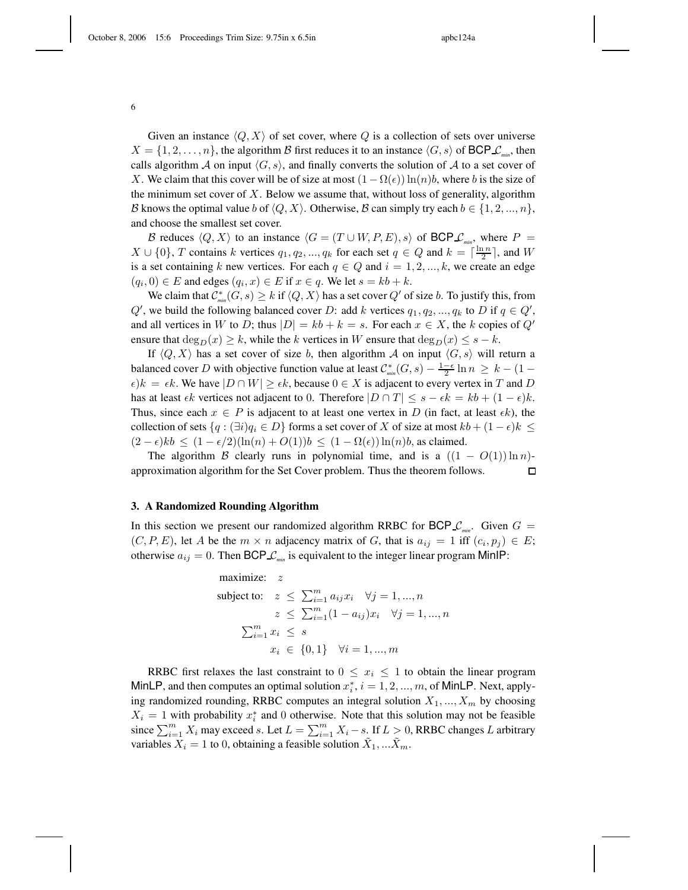Given an instance  $\langle Q, X \rangle$  of set cover, where Q is a collection of sets over universe  $X = \{1, 2, \ldots, n\}$ , the algorithm B first reduces it to an instance  $\langle G, s \rangle$  of BCP  $\mathcal{L}_{min}$ , then calls algorithm A on input  $\langle G, s \rangle$ , and finally converts the solution of A to a set cover of X. We claim that this cover will be of size at most  $(1 - \Omega(\epsilon)) \ln(n)b$ , where b is the size of the minimum set cover of  $X$ . Below we assume that, without loss of generality, algorithm B knows the optimal value b of  $\langle Q, X \rangle$ . Otherwise, B can simply try each  $b \in \{1, 2, ..., n\}$ , and choose the smallest set cover.

B reduces  $\langle Q, X \rangle$  to an instance  $\langle G = (T \cup W, P, E), s \rangle$  of BCP  $\mathcal{L}_{min}$ , where  $P =$  $X \cup \{0\}$ , T contains k vertices  $q_1, q_2, ..., q_k$  for each set  $q \in Q$  and  $k = \lceil \frac{\ln n}{2} \rceil$ , and W is a set containing k new vertices. For each  $q \in Q$  and  $i = 1, 2, ..., k$ , we create an edge  $(q_i, 0) \in E$  and edges  $(q_i, x) \in E$  if  $x \in q$ . We let  $s = kb + k$ .

We claim that  $C_{\min}^*(G, s) \geq k$  if  $\langle Q, X \rangle$  has a set cover  $Q'$  of size b. To justify this, from Q', we build the following balanced cover D: add k vertices  $q_1, q_2, ..., q_k$  to D if  $q \in Q'$ , and all vertices in W to D; thus  $|D| = kb + k = s$ . For each  $x \in X$ , the k copies of Q' ensure that  $\deg_D(x) \geq k$ , while the k vertices in W ensure that  $\deg_D(x) \leq s - k$ .

If  $\langle Q, X \rangle$  has a set cover of size b, then algorithm A on input  $\langle G, s \rangle$  will return a balanced cover D with objective function value at least  $\mathcal{C}_{\min}^*(G, s) - \frac{1-\epsilon}{2} \ln n \geq k - (1-\epsilon)$  $\epsilon$ ) $k = \epsilon k$ . We have  $|D \cap W| \geq \epsilon k$ , because  $0 \in X$  is adjacent to every vertex in T and D has at least  $\epsilon k$  vertices not adjacent to 0. Therefore  $|D \cap T| \leq s - \epsilon k = kb + (1 - \epsilon)k$ . Thus, since each  $x \in P$  is adjacent to at least one vertex in D (in fact, at least  $\epsilon k$ ), the collection of sets  $\{q : (\exists i)q_i \in D\}$  forms a set cover of X of size at most  $kb + (1 - \epsilon)k \leq$  $(2 - \epsilon)kb \leq (1 - \epsilon/2)(\ln(n) + O(1))b \leq (1 - \Omega(\epsilon))\ln(n)b$ , as claimed.

The algorithm B clearly runs in polynomial time, and is a  $((1 - O(1)) \ln n)$ approximation algorithm for the Set Cover problem. Thus the theorem follows.  $\Box$ 

#### **3. A Randomized Rounding Algorithm**

In this section we present our randomized algorithm RRBC for  $BCP_{\mathcal{L}_{min}}$ . Given  $G =$  $(C, P, E)$ , let A be the  $m \times n$  adjacency matrix of G, that is  $a_{ij} = 1$  iff  $(c_i, p_j) \in E$ ; otherwise  $a_{ij} = 0$ . Then BCP  $\mathcal{L}_{min}$  is equivalent to the integer linear program MinIP:

maximize: 
$$
z
$$
  
\nsubject to:  $z \le \sum_{i=1}^{m} a_{ij}x_i \quad \forall j = 1, ..., n$   
\n $z \le \sum_{i=1}^{m} (1 - a_{ij})x_i \quad \forall j = 1, ..., n$   
\n $\sum_{i=1}^{m} x_i \le s$   
\n $x_i \in \{0, 1\} \quad \forall i = 1, ..., m$ 

RRBC first relaxes the last constraint to  $0 \leq x_i \leq 1$  to obtain the linear program MinLP, and then computes an optimal solution  $x_i^*$ ,  $i = 1, 2, ..., m$ , of MinLP. Next, applying randomized rounding, RRBC computes an integral solution  $X_1, ..., X_m$  by choosing  $X_i = 1$  with probability  $x_i^*$  and 0 otherwise. Note that this solution may not be feasible since  $\sum_{i=1}^{m} X_i$  may exceed s. Let  $L = \sum_{i=1}^{m} X_i - s$ . If  $L > 0$ , RRBC changes L arbitrary variables  $X_i = 1$  to 0, obtaining a feasible solution  $X_1, \ldots, X_m$ .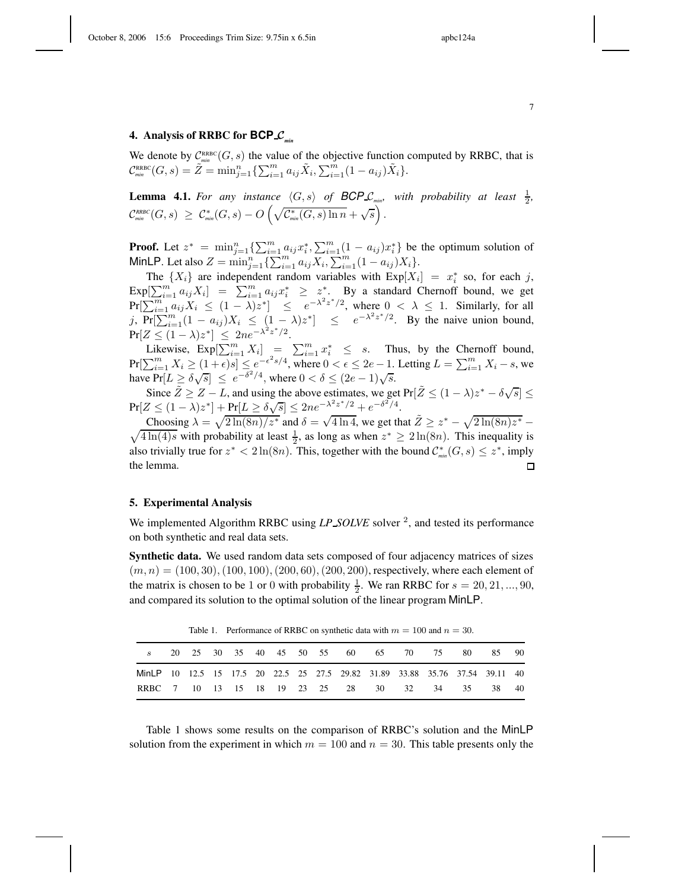## **4. Analysis of RRBC for BCP** C*min*

We denote by  $C_{\min}^{\text{RREG}}(G, s)$  the value of the objective function computed by RRBC, that is  $\mathcal{C}^{\text{\tiny RRBC}}_{\text{\tiny min}}(G,s) = \tilde{Z} = \min_{j=1}^n \{ \sum_{i=1}^m a_{ij} \tilde{X}_i, \sum_{i=1}^m (1-a_{ij}) \tilde{X}_i \}.$ 

**Lemma 4.1.** For any instance  $\langle G, s \rangle$  of  $\text{BCPL}_{min}$ , with probability at least  $\frac{1}{2}$ ,  $\mathcal{C}^\text{\tiny RRBC}_{\scriptscriptstyle{min}}(G,s) \ \geq \ \mathcal{C}^*_{\scriptscriptstyle{min}}(G,s) - O\left( \sqrt{\mathcal{C}^*_{\scriptscriptstyle{min}}(G,s) \ln n} + \sqrt{s} \right).$ 

**Proof.** Let  $z^* = \min_{j=1}^n \{\sum_{i=1}^m a_{ij} x_i^*, \sum_{i=1}^m (1 - a_{ij}) x_i^*\}$  be the optimum solution of MinLP. Let also  $Z = \min_{j=1}^{n} {\sum_{i=1}^{m} a_{ij} X_i, \sum_{i=1}^{m} (1 - a_{ij}) X_i}.$ 

The  $\{X_i\}$  are independent random variables with  $Exp[X_i] = x_i^*$  so, for each j,  $\exp[\sum_{i=1}^m a_{ij}X_i] = \sum_{i=1}^m a_{ij}x_i^* \geq z^*$ . By a standard Chernoff bound, we get  $\Pr[\sum_{i=1}^{m} a_{ij} X_i \leq (1-\lambda)z^*] \leq e^{-\lambda^2 z^*/2}$ , where  $0 < \lambda \leq 1$ . Similarly, for all j,  $Pr[\sum_{i=1}^{m} (1-a_{ij})X_i \leq (1-\lambda)z^*] \leq e^{-\lambda^2z^*/2}$ . By the naive union bound,  $Pr[Z \le (1 - \lambda)z^*] \le 2ne^{-\lambda^2z^*/2}.$ 

Likewise,  $\text{Exp}[\sum_{i=1}^m X_i] = \sum_{i=1}^m x_i^* \leq s$ . Thus, by the Chernoff bound,  $Pr[\sum_{i=1}^{m} X_i \ge (1+\epsilon)s] \le e^{-\epsilon^2 s/4}$ , where  $0 < \epsilon \le 2e-1$ . Letting  $L = \sum_{i=1}^{m} X_i - s$ , we have  $Pr[L \ge \delta \sqrt{s}] \le e^{-\delta^2/4}$ , where  $0 < \delta \le (2e - 1)\sqrt{s}$ .

Since  $\tilde{Z} \geq Z - L$ , and using the above estimates, we get Pr $[\tilde{Z} \leq (1 - \lambda)z^* - \delta\sqrt{s}] \leq$  $Pr[Z \leq (1 - \lambda)z^*] + Pr[L \geq \delta\sqrt{s}] \leq 2ne^{-\lambda^2z^*/2} + e^{-\delta^2/4}.$ 

Choosing  $\lambda = \sqrt{2 \ln(8n)/z^*}$  and  $\delta = \sqrt{4 \ln 4}$ , we get that  $\tilde{Z} \ge z^* - \sqrt{2 \ln(8n)z^*} - \sqrt{4 \ln(4)s}$  with probability at least  $\frac{1}{2}$ , as long as when  $z^* > 2 \ln(8n)$ . This inequality is  $4\ln(4)s$  with probability at least  $\frac{1}{2}$ , as long as when  $z^* \ge 2\ln(8n)$ . This inequality is also trivially true for  $z^* < 2\ln(8n)$ . This, together with the bound  $\mathcal{C}_{\min}^*(G, s) \leq z^*$ , imply the lemma.  $\Box$ 

## **5. Experimental Analysis**

We implemented Algorithm RRBC using *LP\_SOLVE* solver <sup>2</sup>, and tested its performance on both synthetic and real data sets.

**Synthetic data.** We used random data sets composed of four adjacency matrices of sizes  $(m, n) = (100, 30), (100, 100), (200, 60), (200, 200),$  respectively, where each element of the matrix is chosen to be 1 or 0 with probability  $\frac{1}{2}$ . We ran RRBC for  $s = 20, 21, ..., 90$ , and compared its solution to the optimal solution of the linear program MinLP.

Table 1. Performance of RRBC on synthetic data with  $m = 100$  and  $n = 30$ .

| $\mathcal{S}$                                                                |  |  |  |  |  | 20  25  30  35  40  45  50  55  60  65  70  75  80  85  90 |  |  |
|------------------------------------------------------------------------------|--|--|--|--|--|------------------------------------------------------------|--|--|
| MinLP 10 12.5 15 17.5 20 22.5 25 27.5 29.82 31.89 33.88 35.76 37.54 39.11 40 |  |  |  |  |  |                                                            |  |  |
| RRBC 7 10 13 15 18 19 23 25 28 30 32 34 35 38 40                             |  |  |  |  |  |                                                            |  |  |

Table 1 shows some results on the comparison of RRBC's solution and the MinLP solution from the experiment in which  $m = 100$  and  $n = 30$ . This table presents only the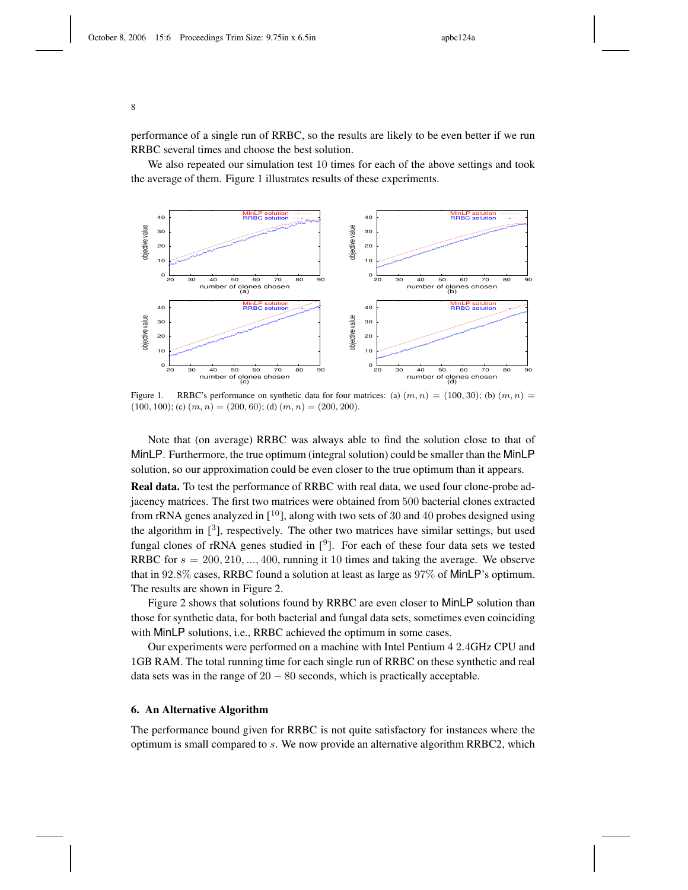performance of a single run of RRBC, so the results are likely to be even better if we run RRBC several times and choose the best solution.

We also repeated our simulation test 10 times for each of the above settings and took the average of them. Figure 1 illustrates results of these experiments.



Figure 1. RRBC's performance on synthetic data for four matrices: (a)  $(m, n) = (100, 30)$ ; (b)  $(m, n) =$  $(100, 100)$ ; (c)  $(m, n) = (200, 60)$ ; (d)  $(m, n) = (200, 200)$ .

Note that (on average) RRBC was always able to find the solution close to that of MinLP. Furthermore, the true optimum (integral solution) could be smaller than the MinLP solution, so our approximation could be even closer to the true optimum than it appears.

**Real data.** To test the performance of RRBC with real data, we used four clone-probe adjacency matrices. The first two matrices were obtained from 500 bacterial clones extracted from rRNA genes analyzed in  $[10]$ , along with two sets of 30 and 40 probes designed using the algorithm in  $[3]$ , respectively. The other two matrices have similar settings, but used fungal clones of rRNA genes studied in  $[9]$ . For each of these four data sets we tested RRBC for  $s = 200, 210, \ldots, 400$ , running it 10 times and taking the average. We observe that in 92.8% cases, RRBC found a solution at least as large as 97% of MinLP's optimum. The results are shown in Figure 2.

Figure 2 shows that solutions found by RRBC are even closer to MinLP solution than those for synthetic data, for both bacterial and fungal data sets, sometimes even coinciding with MinLP solutions, i.e., RRBC achieved the optimum in some cases.

Our experiments were performed on a machine with Intel Pentium 4 2.4GHz CPU and 1GB RAM. The total running time for each single run of RRBC on these synthetic and real data sets was in the range of  $20 - 80$  seconds, which is practically acceptable.

### **6. An Alternative Algorithm**

The performance bound given for RRBC is not quite satisfactory for instances where the optimum is small compared to s. We now provide an alternative algorithm RRBC2, which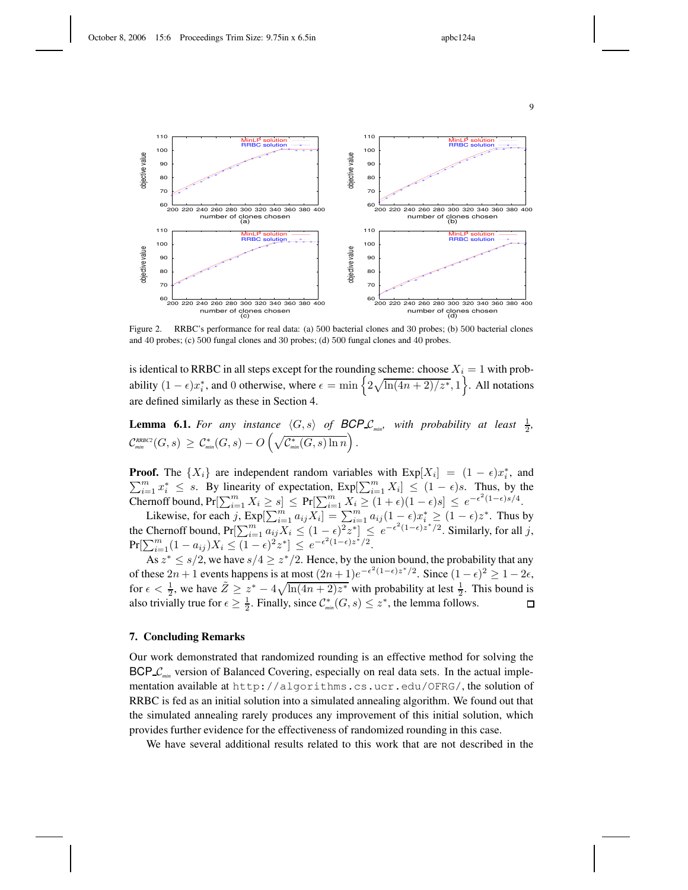

Figure 2. RRBC's performance for real data: (a) 500 bacterial clones and 30 probes; (b) 500 bacterial clones and 40 probes; (c) 500 fungal clones and 30 probes; (d) 500 fungal clones and 40 probes.

is identical to RRBC in all steps except for the rounding scheme: choose  $X_i = 1$  with probability  $(1 - \epsilon)x_i^*$ , and 0 otherwise, where  $\epsilon = \min\left\{2\sqrt{\ln(4n + 2)/z^*}, 1\right\}$ . All notations are defined similarly as these in Section 4.

**Lemma 6.1.** For any instance  $\langle G, s \rangle$  of  $\text{BCP}_{\text{max}}$ , with probability at least  $\frac{1}{2}$ ,  $\mathcal{C}^{\text{\tiny RRBC2}}_{\scriptscriptstyle{min}}(G,s) \, \geq \, \mathcal{C}^*_{\scriptscriptstyle{min}}(G,s) - O\left(\sqrt{\mathcal{C}^*_{\scriptscriptstyle{min}}(G,s)\ln n}\right).$ 

**Proof.** The  $\{X_i\}$  are independent random variables with  $Exp[X_i] = (1 - \epsilon)x_i^*$ , and  $\sum_{i=1}^{m} x_i^* \leq s$ . By linearity of expectation,  $\exp[\sum_{i=1}^{m} X_i] \leq (1 - \epsilon)s$ . Thus, by the Chernoff bound,  $Pr[\sum_{i=1}^{m} X_i \ge s] \le Pr[\sum_{i=1}^{m} X_i \ge (1+\epsilon)(1-\epsilon)s] \le e^{-\epsilon^2(1-\epsilon)s/4}$ .  $\sum_{i=1}^m X_i \geq s$ ]  $\leq$  Pr[

Likewise, for each j,  $\exp[\sum_{i=1}^m a_{ij}X_i] = \sum_{i=1}^m a_{ij} (1-\epsilon)x_i^* \geq (1-\epsilon)z^*$ . Thus by the Chernoff bound,  $Pr[\sum_{i=1}^{m} a_{ij}X_i \leq (1-\epsilon)^2 z^*] \leq e^{-\epsilon^2(1-\epsilon)z^*/2}$ . Similarly, for all j,  $Pr[\sum_{i=1}^{m} (1 - a_{ij}) X_i \leq (1 - \epsilon)^2 z^*] \leq e^{-\epsilon^2 (1 - \epsilon) z^* / 2}.$ 

As  $z^* \le s/2$ , we have  $s/4 \ge z^*/2$ . Hence, by the union bound, the probability that any of these  $2n + 1$  events happens is at most  $(2n+1)e^{-\epsilon^2(1-\epsilon)z^2/2}$ . Since  $(1-\epsilon)^2 \ge 1-2\epsilon$ , for  $\epsilon < \frac{1}{2}$ , we have  $\tilde{Z} \geq z^* - 4\sqrt{\ln(4n+2)z^*}$  with probability at lest  $\frac{1}{2}$ . This bound is also trivially true for  $\epsilon \geq \frac{1}{2}$ . Finally, since  $\mathcal{C}_{m\text{in}}^*(G, s) \leq z^*$ , the lemma follows.  $\Box$ 

## **7. Concluding Remarks**

Our work demonstrated that randomized rounding is an effective method for solving the  $BCP\mathcal{L}_{\textit{min}}$  version of Balanced Covering, especially on real data sets. In the actual implementation available at http://algorithms.cs.ucr.edu/OFRG/, the solution of RRBC is fed as an initial solution into a simulated annealing algorithm. We found out that the simulated annealing rarely produces any improvement of this initial solution, which provides further evidence for the effectiveness of randomized rounding in this case.

We have several additional results related to this work that are not described in the